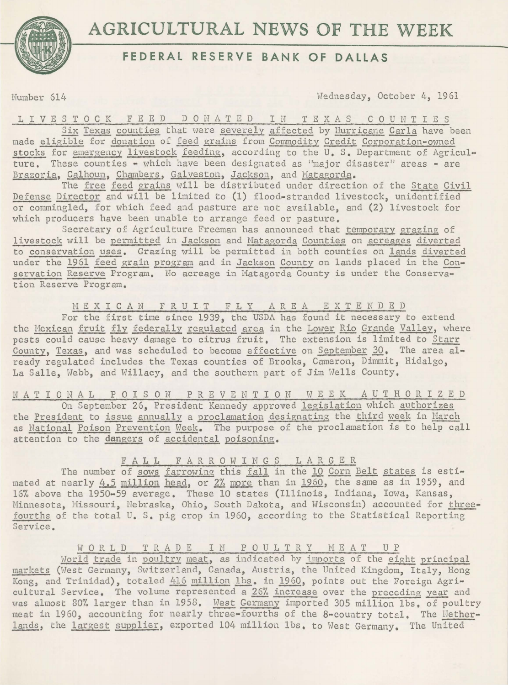

# **AGRICULTURAL NEWS OF THE WEEK**

## **FEDERAL RESERVE BANK OF DALLAS**

Number 614 Wednesday, October 4, 1961

1 I V E S T 0 C K F E E D D 0 N A T E D I N T E X A S C 0 U N T I E S Six Texas counties that were severely affected by Hurricane Carla have been made eligible for donation of feed grains from Commodity Credit Corporation-owned stocks for emergency livestock feeding, according to the U.S. Department of Agriculture. These counties - which have been designated as "major disaster" areas - are Brazoria, Calhoun, Chambers, Galveston, Jackson, and Matagorda.

The free feed grains will be distributed under direction of the State Civil Defense Director and will be limited to (1) flood-stranded livestock, unidentified or commingled, for which feed and pasture are not available, and (2) livestock for which producers have been unable to arrange feed or pasture.

Secretary of Agriculture Freeman has announced that temporary grazing of livestock will be permitted in Jackson and Matagorda Counties on acreages diverted to conservation uses. Grazing will be permitted in both counties on lands diverted under the 1961 feed grain program and in Jackson County on lands placed in the Conservation Reserve Program. No acreage in Matagorda County is under the Conservation Reserve Program.

### M E X I C A N F R U I T F L Y A R E A E X T E N D E D

For the first time since 1939, the USDA has found it necessary to extend the Mexican fruit fly federally regulated area in the Lower Rio Grande Valley, where pests could cause heavy damage to citrus fruit. The extension is limited to Starr County, Texas, and was scheduled to become effective on September 30, The area already regulated includes the Texas counties of Brooks, Cameron, Dimmit, Hidalgo, La Salle, Webb, and Willacy, and the southern part of Jim Wells County.

N A T I 0 N A L P 0 I S 0 N P R E V E N T I 0 N W E E K A U T H 0 R I Z E D On September 26, President Kennedy approved legislation which authorizes the President to issue annually a proclamation designating the third week in March as National Poison Prevention Week. The purpose of the proclamation is to help call attention to the dangers of accidental poisoning,

#### F A L L F A R R 0 W I N G S L A R G E R

The number of sows farrowing this fall in the 10 Corn Belt states is estimated at nearly  $4.5$  million head, or  $2\%$  more than in 1960, the same as in 1959, and 16% above the 1950-59 average. These 10 states (Illinois, Indiana, Iowa, Kansas, Minnesota, Hissouri, Nebraska, Ohio, South Dakota, and Wisconsin) accounted for threefourths of the total u. s. pig crop in 1960, according to the Statistical Reporting Service.

#### WORLD TRADE IN POULTRY MEAT UP

World trade in poultry meat, as indicated by imports of the eight principal markets (West Germany, Switzerland, Canada, Austria, the United Kingdom, Italy, Hong Kong, and Trinidad), totaled 416 million lbs, in 1960, points out the Foreign Agricultural Service. The volume represented a 26% increase over the preceding year and was almost 80% larger than in 1958. West Germany imported 305 million 1bs, of poultry meat in 1960, accounting for nearly three-fourths of the 8-country total. The Netherlands, the largest supplier, exported 104 million lbs. to West Germany. The United